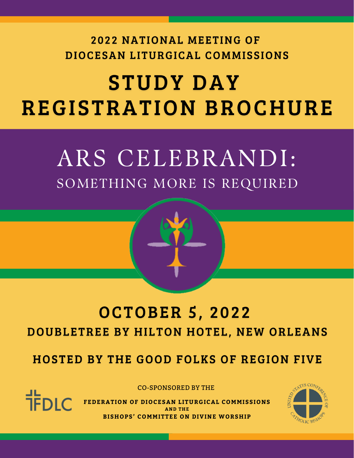### 2022 NATIONAL MEETING OF DIOCESAN LITURGICAL COMMISSIONS

# **STUDY DAY REGISTRATION BROCHURE**

## ARS CELEBRANDI: SOMETHING MORE IS REQUIRED

## **OCTOBER 5, 2022** DOUBLETREE BY HILTON HOTEL, NEW ORLEANS

**HOSTED BY THE GOOD FOLKS OF REGION FIVE** 

CO-SPONSORED BY THE

 $\frac{1}{2}$ DIC

**FEDERATION OF DIOCESAN LITURGICAL COMMISSIONS AND THE BISHOPS' COMMITTEE ON DIVINE WORSHIP**

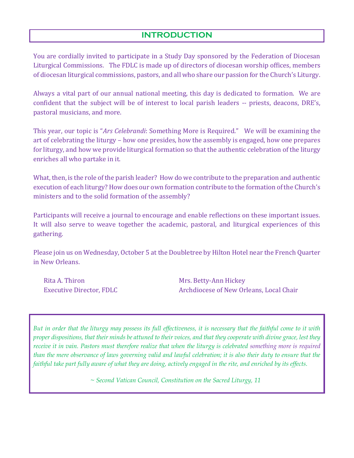#### **INTRODUCTION**

You are cordially invited to participate in a Study Day sponsored by the Federation of Diocesan Liturgical Commissions. The FDLC is made up of directors of diocesan worship offices, members of diocesan liturgical commissions, pastors, and all who share our passion for the Church's Liturgy.

Always a vital part of our annual national meeting, this day is dedicated to formation. We are confident that the subject will be of interest to local parish leaders -- priests, deacons, DRE's, pastoral musicians, and more.

This year, our topic is "*Ars Celebrandi*: Something More is Required." We will be examining the art of celebrating the liturgy – how one presides, how the assembly is engaged, how one prepares for liturgy, and how we provide liturgical formation so that the authentic celebration of the liturgy enriches all who partake in it.

What, then, is the role of the parish leader? How do we contribute to the preparation and authentic execution of each liturgy? How does our own formation contribute to the formation of the Church's ministers and to the solid formation of the assembly?

Participants will receive a journal to encourage and enable reflections on these important issues. It will also serve to weave together the academic, pastoral, and liturgical experiences of this gathering.

Please join us on Wednesday, October 5 at the Doubletree by Hilton Hotel near the French Quarter in New Orleans.

Rita A. Thiron Mrs. Betty-Ann Hickey

Ξ

Executive Director, FDLC **Archdiocese of New Orleans, Local Chair** Archdiocese of New Orleans, Local Chair

*But in order that the liturgy may possess its full effectiveness, it is necessary that the faithful come to it with proper dispositions, that their minds be attuned to their voices, and that they cooperate with divine grace, lest they receive it in vain. Pastors must therefore realize that when the liturgy is celebrated something more is required than the mere observance of laws governing valid and lawful celebration; it is also their duty to ensure that the faithful take part fully aware of what they are doing, actively engaged in the rite, and enriched by its effects.* 

 *~ Second Vatican Council, Constitution on the Sacred Liturgy, 11*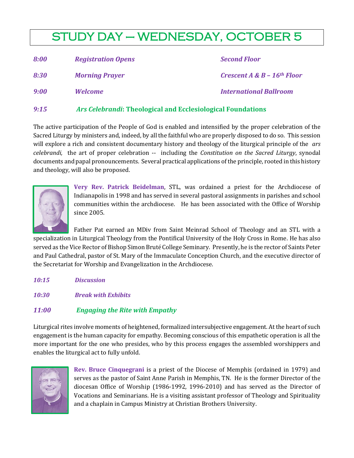### STUDY DAY – WEDNESDAY, OCTOBER 5

| 8:00 | <b>Registration Opens</b> | <b>Second Floor</b>                        |
|------|---------------------------|--------------------------------------------|
| 8:30 | <b>Morning Prayer</b>     | Crescent $A \& B - 16$ <sup>th</sup> Floor |
| 9:00 | Welcome                   | <b>International Ballroom</b>              |

#### *9:15 Ars Celebrandi***: Theological and Ecclesiological Foundations**

The active participation of the People of God is enabled and intensified by the proper celebration of the Sacred Liturgy by ministers and, indeed, by all the faithful who are properly disposed to do so. This session will explore a rich and consistent documentary history and theology of the liturgical principle of the *ars celebrandi,* the art of proper celebration -- including the *Constitution on the Sacred Liturgy*, synodal documents and papal pronouncements. Several practical applications of the principle, rooted in this history and theology, will also be proposed.



**Very Rev. Patrick Beidelman**, STL, was ordained a priest for the Archdiocese of Indianapolis in 1998 and has served in several pastoral assignments in parishes and school communities within the archdiocese. He has been associated with the Office of Worship since 2005.

Father Pat earned an MDiv from Saint Meinrad School of Theology and an STL with a specialization in Liturgical Theology from the Pontifical University of the Holy Cross in Rome. He has also served as the Vice Rector of Bishop Simon Bruté College Seminary. Presently, he is the rector of Saints Peter and Paul Cathedral, pastor of St. Mary of the Immaculate Conception Church, and the executive director of the Secretariat for Worship and Evangelization in the Archdiocese.

- *10:15 Discussion*
- *10:30 Break with Exhibits*

#### *11:00 Engaging the Rite with Empathy*

Liturgical rites involve moments of heightened, formalized intersubjective engagement. At the heart of such engagement is the human capacity for empathy. Becoming conscious of this empathetic operation is all the more important for the one who presides, who by this process engages the assembled worshippers and enables the liturgical act to fully unfold.



**Rev. Bruce Cinquegrani** is a priest of the Diocese of Memphis (ordained in 1979) and serves as the pastor of Saint Anne Parish in Memphis, TN. He is the former Director of the diocesan Office of Worship (1986-1992, 1996-2010) and has served as the Director of Vocations and Seminarians. He is a visiting assistant professor of Theology and Spirituality and a chaplain in Campus Ministry at Christian Brothers University.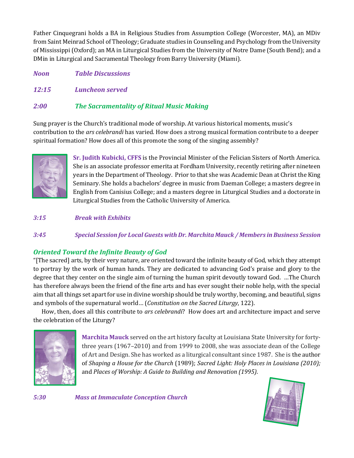Father Cinquegrani holds a BA in Religious Studies from Assumption College (Worcester, MA), an MDiv from Saint Meinrad School of Theology; Graduate studies in Counseling and Psychology from the University of Mississippi (Oxford); an MA in Liturgical Studies from the University of Notre Dame (South Bend); and a DMin in Liturgical and Sacramental Theology from Barry University (Miami).

*Noon Table Discussions*

*12:15 Luncheon served*

#### *2:00 The Sacramentality of Ritual Music Making*

Sung prayer is the Church's traditional mode of worship. At various historical moments, music's contribution to the *ars celebrandi* has varied. How does a strong musical formation contribute to a deeper spiritual formation? How does all of this promote the song of the singing assembly?



**Sr. Judith Kubicki, CFFS** is the Provincial Minister of the Felician Sisters of North America. She is an associate professor emerita at Fordham University, recently retiring after nineteen years in the Department of Theology. Prior to that she was Academic Dean at Christ the King Seminary. She holds a bachelors' degree in music from Daeman College; a masters degree in English from Canisius College; and a masters degree in Liturgical Studies and a doctorate in Liturgical Studies from the Catholic University of America.

*3:15 Break with Exhibits*

*3:45 Special Session for Local Guests with Dr. Marchita Mauck / Members in Business Session*

#### *Oriented Toward the Infinite Beauty of God*

"[The sacred] arts, by their very nature, are oriented toward the infinite beauty of God, which they attempt to portray by the work of human hands. They are dedicated to advancing God's praise and glory to the degree that they center on the single aim of turning the human spirit devoutly toward God. …The Church has therefore always been the friend of the fine arts and has ever sought their noble help, with the special aim that all things set apart for use in divine worship should be truly worthy, becoming, and beautiful, signs and symbols of the supernatural world… (*Constitution on the Sacred Liturgy*, 122).

 How, then, does all this contribute to *ars celebrandi*? How does art and architecture impact and serve the celebration of the Liturgy?



**Marchita Mauck** served on the art history faculty at Louisiana State University for fortythree years (1967–2010) and from 1999 to 2008, she was associate dean of the College of Art and Design. She has worked as a liturgical consultant since 1987. She is the author of *Shaping a House for the Church* (1989); *Sacred Light: Holy Places in Louisiana (2010);*  and *Places of Worship: A Guide to Building and Renovation (1995)*.



*5:30 Mass at Immaculate Conception Church*